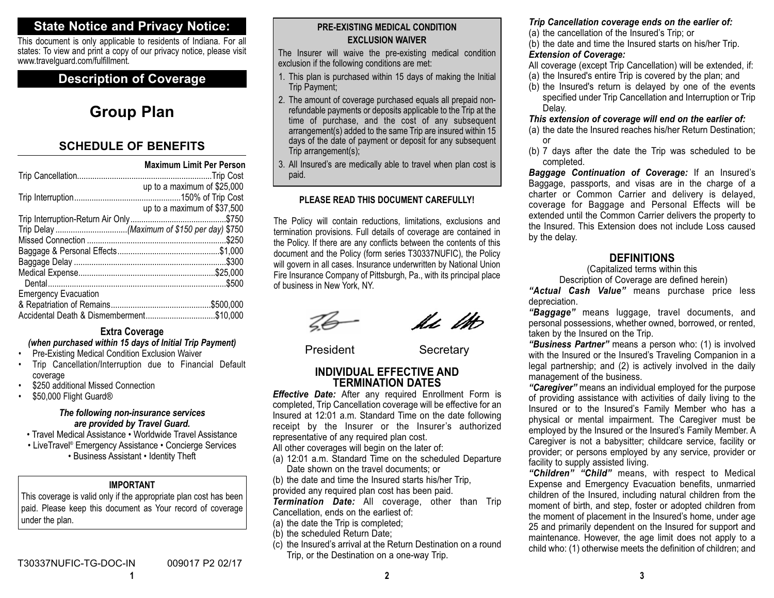## **State Notice and Privacy Notice:**

This document is only applicable to residents of Indiana. For all states: To view and print a copy of our privacy notice, please visit www.travelguard.com/fulfillment.

## **Description of Coverage**

## **Group Plan**

## **SCHEDULE OF BENEFITS**

| <b>Maximum Limit Per Person</b> |
|---------------------------------|
|                                 |
| up to a maximum of \$25,000     |
|                                 |
| up to a maximum of \$37,500     |
|                                 |
|                                 |
|                                 |
|                                 |
|                                 |
|                                 |
|                                 |
| <b>Emergency Evacuation</b>     |
|                                 |
| \$10,000                        |

## **Extra Coverage**

## *(when purchased within 15 days of Initial Trip Payment)*

- •Pre-Existing Medical Condition Exclusion Waiver
- • Trip Cancellation/Interruption due to Financial Default coverage
- •\$250 additional Missed Connection
- •\$50,000 Flight Guard ®

#### *The following non-insurance services are provided by Travel Guard.*

- Travel Medical Assistance Worldwide Travel Assistance
- LiveTravel® Emergency Assistance Concierge Services • Business Assistant • Identity Theft

## **IMPORTANT**

This coverage is valid only if the appropriate plan cost has been paid. Please keep this document as Your record of coverage under the plan.

**1**

## **PRE-EXISTING MEDICAL CONDITIONEXCLUSION WAIVER**

The Insurer will waive the pre-existing medical condition exclusion if the following conditions are met:

- 1. This plan is purchased within 15 days of making the Initial Trip Payment;
- 2. The amount of coverage purchased equals all prepaid nonrefundable payments or deposits applicable to the Trip at the time of purchase, and the cost of any subsequent arrangement(s) added to the same Trip are insured within 15 days of the date of payment or deposit for any subsequent Trip arrangement(s);
- 3. All Insured's are medically able to travel when plan cost is paid.

## **PLEASE READ THIS DOCUMENT CAREFULLY!**

The Policy will contain reductions, limitations, exclusions and termination provisions. Full details of coverage are contained in the Policy. If there are any conflicts between the contents of this document and the Policy (form series T30337NUFIC), the Policy will govern in all cases. Insurance underwritten by National Union Fire Insurance Company of Pittsburgh, Pa., with its principal place of business in New York, NY.

le lito

President Secretary

#### **INDIVIDUAL EFFECTIVE AND TERMINATION DATES**

*Effective Date:* After any required Enrollment Form is completed, Trip Cancellation coverage will be effective for an Insured at 12:01 a.m. Standard Time on the date following receipt by the Insurer or the Insurer's authorized representative of any required plan cost.

All other coverages will begin on the later of:

(a) 12:01 a.m. Standard Time on the scheduled Departure Date shown on the travel documents; or

(b) the date and time the Insured starts his/her Trip,

provided any required plan cost has been paid.

*Termination Date:* All coverage, other than Trip Cancellation, ends on the earliest of:

- (a) the date the Trip is completed;
- (b) the scheduled Return Date;
- (c) the Insured's arrival at the Return Destination on a round Trip, or the Destination on a one-way Trip.

## *Trip Cancellation coverage ends on the earlier of:*

(a) the cancellation of the Insured's Trip; or

(b) the date and time the Insured starts on his/her Trip.

#### *Extension of Coverage:*

- All coverage (except Trip Cancellation) will be extended, if:
- (a) the Insured's entire Trip is covered by the plan; and
- (b) the Insured's return is delayed by one of the events specified under Trip Cancellation and Interruption or Trip Delay.

#### *This extension of coverage will end on the earlier of:*

- (a) the date the Insured reaches his/her Return Destination; or
- (b) 7 days after the date the Trip was scheduled to be completed.

*Baggage Continuation of Coverage:* If an Insured's Baggage, passports, and visas are in the charge of a charter or Common Carrier and delivery is delayed, coverage for Baggage and Personal Effects will be extended until the Common Carrier delivers the property to the Insured. This Extension does not include Loss causedby the delay.

## **DEFINITIONS**

(Capitalized terms within this

Description of Coverage are defined herein)

*"Actual Cash Value"* means purchase price less depreciation.

*"Baggage"* means luggage, travel documents, and personal possessions, whether owned, borrowed, or rented, taken by the Insured on the Trip.

*"Business Partner"* means a person who: (1) is involved with the Insured or the Insured's Traveling Companion in a legal partnership; and (2) is actively involved in the daily management of the business.

*"Caregiver"* means an individual employed for the purpose of providing assistance with activities of daily living to the Insured or to the Insured's Family Member who has a physical or mental impairment. The Caregiver must be employed by the Insured or the Insured's Family Member. A Caregiver is not a babysitter; childcare service, facility or provider; or persons employed by any service, provider or facility to supply assisted living.

*"Children" "Child"* means, with respect to Medical Expense and Emergency Evacuation benefits, unmarried children of the Insured, including natural children from the moment of birth, and step, foster or adopted children from the moment of placement in the Insured's home, under age 25 and primarily dependent on the Insured for support and maintenance. However, the age limit does not apply to a child who: (1) otherwise meets the definition of children; and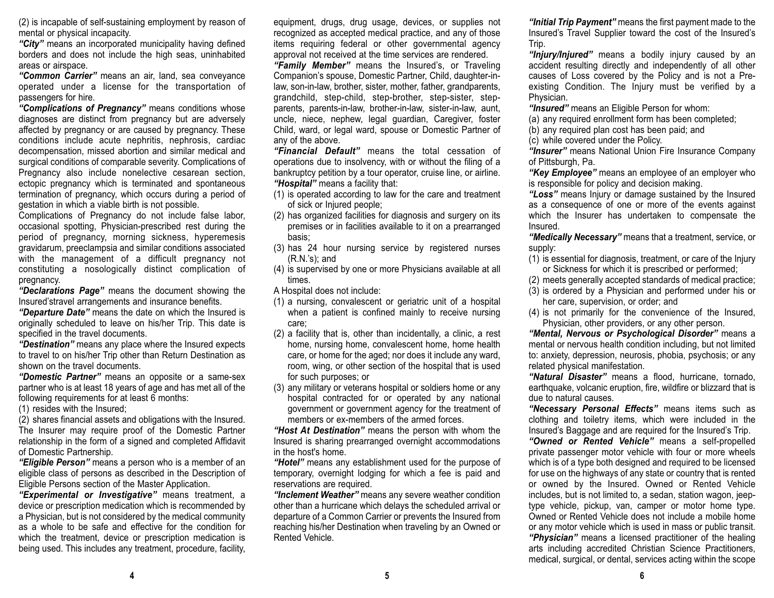(2) is incapable of self-sustaining employment by reason of mental or physical incapacity.

*"City"* means an incorporated municipality having defined borders and does not include the high seas, uninhabited areas or airspace.

*"Common Carrier"* means an air, land, sea conveyance operated under a license for the transportation of passengers for hire.

*"Complications of Pregnancy"* means conditions whose diagnoses are distinct from pregnancy but are adversely affected by pregnancy or are caused by pregnancy. These conditions include acute nephritis, nephrosis, cardiac decompensation, missed abortion and similar medical and surgical conditions of comparable severity. Complications of Pregnancy also include nonelective cesarean section, ectopic pregnancy which is terminated and spontaneous termination of pregnancy, which occurs during a period of gestation in which a viable birth is not possible.

Complications of Pregnancy do not include false labor, occasional spotting, Physician-prescribed rest during the period of pregnancy, morning sickness, hyperemesis gravidarum, preeclampsia and similar conditions associated with the management of a difficult pregnancy not constituting a nosologically distinct complication of pregnancy.

*"Declarations Page"* means the document showing the Insured'stravel arrangements and insurance benefits.

*"Departure Date"* means the date on which the Insured is originally scheduled to leave on his/her Trip. This date is specified in the travel documents.

*"Destination"* means any place where the Insured expects to travel to on his/her Trip other than Return Destination as shown on the travel documents.

*"Domestic Partner"* means an opposite or a same-sex partner who is at least 18 years of age and has met all of the following requirements for at least 6 months:

(1) resides with the Insured;

(2) shares financial assets and obligations with the Insured. The Insurer may require proof of the Domestic Partner relationship in the form of a signed and completed Affidavit of Domestic Partnership.

*"Eligible Person"* means a person who is a member of an eligible class of persons as described in the Description of Eligible Persons section of the Master Application.

*"Experimental or Investigative"* means treatment, a device or prescription medication which is recommended by a Physician, but is not considered by the medical community as a whole to be safe and effective for the condition forwhich the treatment, device or prescription medication is being used. This includes any treatment, procedure, facility,

equipment, drugs, drug usage, devices, or supplies not recognized as accepted medical practice, and any of those items requiring federal or other governmental agency approval not received at the time services are rendered.

*"Family Member"* means the Insured's, or Traveling Companion's spouse, Domestic Partner, Child, daughter-inlaw, son-in-law, brother, sister, mother, father, grandparents, grandchild, step-child, step-brother, step-sister, stepparents, parents-in-law, brother-in-law, sister-in-law, aunt, uncle, niece, nephew, legal guardian, Caregiver, foster Child, ward, or legal ward, spouse or Domestic Partner of any of the above.

*"Financial Default"* means the total cessation of operations due to insolvency, with or without the filing of a bankruptcy petition by a tour operator, cruise line, or airline. *"Hospital"* means a facility that:

- (1) is operated according to law for the care and treatment of sick or Injured people;
- (2) has organized facilities for diagnosis and surgery on its premises or in facilities available to it on a prearranged basis;
- (3) has 24 hour nursing service by registered nurses (R.N.'s); and
- (4) is supervised by one or more Physicians available at all times.
- A Hospital does not include:
- (1) a nursing, convalescent or geriatric unit of a hospital when a patient is confined mainly to receive nursing care;
- (2) a facility that is, other than incidentally, a clinic, a rest home, nursing home, convalescent home, home health care, or home for the aged; nor does it include any ward, room, wing, or other section of the hospital that is used for such purposes; or
- (3) any military or veterans hospital or soldiers home or any hospital contracted for or operated by any national government or government agency for the treatment of members or ex-members of the armed forces.

*"Host At Destination"* means the person with whom the Insured is sharing prearranged overnight accommodations in the host's home.

*"Hotel"* means any establishment used for the purpose of temporary, overnight lodging for which a fee is paid and reservations are required.

*"Inclement Weather"* means any severe weather condition other than a hurricane which delays the scheduled arrival or departure of a Common Carrier or prevents the Insured from reaching his/her Destination when traveling by an Owned or Rented Vehicle.

*"Initial Trip Payment"* means the first payment made to the Insured's Travel Supplier toward the cost of the Insured's Trip.

*"Injury/Injured"* means a bodily injury caused by an accident resulting directly and independently of all other causes of Loss covered by the Policy and is not a Preexisting Condition. The Injury must be verified by a Physician.

*"Insured"* means an Eligible Person for whom:

(a) any required enrollment form has been completed;

(b) any required plan cost has been paid; and

(c) while covered under the Policy.

*"Insurer"* means National Union Fire Insurance Company of Pittsburgh, Pa.

*"Key Employee"* means an employee of an employer who is responsible for policy and decision making.

*"Loss"* means Injury or damage sustained by the Insured as a consequence of one or more of the events against which the Insurer has undertaken to compensate the Insured.

*"Medically Necessary"* means that a treatment, service, or supply:

- (1) is essential for diagnosis, treatment, or care of the Injury or Sickness for which it is prescribed or performed;
- (2) meets generally accepted standards of medical practice;
- (3) is ordered by a Physician and performed under his or her care, supervision, or order; and
- (4) is not primarily for the convenience of the Insured, Physician, other providers, or any other person.

*"Mental, Nervous or Psychological Disorder"* means a mental or nervous health condition including, but not limited to: anxiety, depression, neurosis, phobia, psychosis; or any related physical manifestation.

*"Natural Disaster"* means a flood, hurricane, tornado, earthquake, volcanic eruption, fire, wildfire or blizzard that is due to natural causes.

*"Necessary Personal Effects"* means items such as clothing and toiletry items, which were included in the Insured's Baggage and are required for the Insured's Trip.

*"Owned or Rented Vehicle"* means a self-propelled private passenger motor vehicle with four or more wheels which is of a type both designed and required to be licensed for use on the highways of any state or country that is rented or owned by the Insured. Owned or Rented Vehicle includes, but is not limited to, a sedan, station wagon, jeeptype vehicle, pickup, van, camper or motor home type. Owned or Rented Vehicle does not include a mobile home or any motor vehicle which is used in mass or public transit. *"Physician"* means a licensed practitioner of the healing arts including accredited Christian Science Practitioners, medical, surgical, or dental, services acting within the scope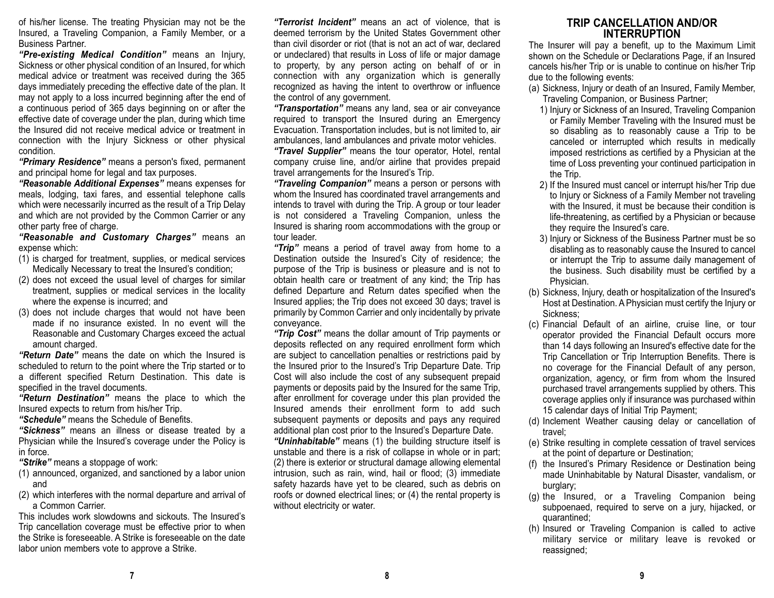of his/her license. The treating Physician may not be the Insured, a Traveling Companion, a Family Member, or a Business Partner.

*"Pre-existing Medical Condition"* means an Injury, Sickness or other physical condition of an Insured, for which medical advice or treatment was received during the 365 days immediately preceding the effective date of the plan. It may not apply to a loss incurred beginning after the end of a continuous period of 365 days beginning on or after the effective date of coverage under the plan, during which time the Insured did not receive medical advice or treatment inconnection with the Injury Sickness or other physical condition.

*"Primary Residence"* means a person's fixed, permanent and principal home for legal and tax purposes.

*"Reasonable Additional Expenses"* means expenses for meals, lodging, taxi fares, and essential telephone calls which were necessarily incurred as the result of a Trip Delay and which are not provided by the Common Carrier or any other party free of charge.

*"Reasonable and Customary Charges"* means an expense which:

- (1) is charged for treatment, supplies, or medical services Medically Necessary to treat the Insured's condition;
- (2) does not exceed the usual level of charges for similar treatment, supplies or medical services in the locality where the expense is incurred; and
- (3) does not include charges that would not have been made if no insurance existed. In no event will theReasonable and Customary Charges exceed the actual amount charged.

*"Return Date"* means the date on which the Insured isscheduled to return to the point where the Trip started or to a different specified Return Destination. This date is specified in the travel documents.

*"Return Destination"* means the place to which the Insured expects to return from his/her Trip.

*"Schedule"* means the Schedule of Benefits.

*"Sickness"* means an illness or disease treated by a Physician while the Insured's coverage under the Policy is in force.

*"Strike"* means a stoppage of work:

- (1) announced, organized, and sanctioned by a labor union and
- (2) which interferes with the normal departure and arrival of a Common Carrier.

This includes work slowdowns and sickouts. The Insured'sTrip cancellation coverage must be effective prior to when the Strike is foreseeable. A Strike is foreseeable on the date labor union members vote to approve a Strike.

*"Terrorist Incident"* means an act of violence, that is deemed terrorism by the United States Government other than civil disorder or riot (that is not an act of war, declared or undeclared) that results in Loss of life or major damage to property, by any person acting on behalf of or in connection with any organization which is generally recognized as having the intent to overthrow or influence the control of any government.

*"Transportation"* means any land, sea or air conveyance required to transport the Insured during an Emergency Evacuation. Transportation includes, but is not limited to, air ambulances, land ambulances and private motor vehicles.

*"Travel Supplier"* means the tour operator, Hotel, rental company cruise line, and/or airline that provides prepaid travel arrangements for the Insured's Trip.

*"Traveling Companion"* means a person or persons with whom the Insured has coordinated travel arrangements and intends to travel with during the Trip. A group or tour leader is not considered a Traveling Companion, unless the Insured is sharing room accommodations with the group or tour leader.

*"Trip"* means a period of travel away from home to a Destination outside the Insured's City of residence; the purpose of the Trip is business or pleasure and is not to obtain health care or treatment of any kind; the Trip has defined Departure and Return dates specified when the Insured applies; the Trip does not exceed 30 days; travel is primarily by Common Carrier and only incidentally by private conveyance.

*"Trip Cost"* means the dollar amount of Trip payments or deposits reflected on any required enrollment form which are subject to cancellation penalties or restrictions paid by the Insured prior to the Insured's Trip Departure Date. Trip Cost will also include the cost of any subsequent prepaid payments or deposits paid by the Insured for the same Trip, after enrollment for coverage under this plan provided the Insured amends their enrollment form to add such subsequent payments or deposits and pays any required additional plan cost prior to the Insured's Departure Date.

*"Uninhabitable"* means (1) the building structure itself is unstable and there is a risk of collapse in whole or in part; (2) there is exterior or structural damage allowing elemental intrusion, such as rain, wind, hail or flood; (3) immediate safety hazards have yet to be cleared, such as debris on roofs or downed electrical lines; or (4) the rental property is without electricity or water.

#### **TRIP CANCELLATION AND/ORINTERRUPTION**

The Insurer will pay a benefit, up to the Maximum Limit shown on the Schedule or Declarations Page, if an Insured cancels his/her Trip or is unable to continue on his/her Trip due to the following events:

- (a) Sickness, Injury or death of an Insured, Family Member, Traveling Companion, or Business Partner;
	- 1) Injury or Sickness of an Insured, Traveling Companion or Family Member Traveling with the Insured must be so disabling as to reasonably cause a Trip to be canceled or interrupted which results in medically imposed restrictions as certified by a Physician at the time of Loss preventing your continued participation in the Trip.
	- 2) If the Insured must cancel or interrupt his/her Trip due to Injury or Sickness of a Family Member not traveling with the Insured, it must be because their condition is life-threatening, as certified by a Physician or because they require the Insured's care.
	- 3) Injury or Sickness of the Business Partner must be so disabling as to reasonably cause the Insured to cancel or interrupt the Trip to assume daily management of the business. Such disability must be certified by a Physician.
- (b) Sickness, Injury, death or hospitalization of the Insured's Host at Destination. A Physician must certify the Injury or Sickness;
- (c) Financial Default of an airline, cruise line, or tour operator provided the Financial Default occurs more than 14 days following an Insured's effective date for the Trip Cancellation or Trip Interruption Benefits. There is no coverage for the Financial Default of any person, organization, agency, or firm from whom the Insured purchased travel arrangements supplied by others. This coverage applies only if insurance was purchased within 15 calendar days of Initial Trip Payment;
- (d) Inclement Weather causing delay or cancellation of travel;
- (e) Strike resulting in complete cessation of travel services at the point of departure or Destination;
- (f) the Insured's Primary Residence or Destination being made Uninhabitable by Natural Disaster, vandalism, or burglary;
- (g) the Insured, or a Traveling Companion being subpoenaed, required to serve on a jury, hijacked, or quarantined;
- (h) Insured or Traveling Companion is called to active military service or military leave is revoked or reassigned;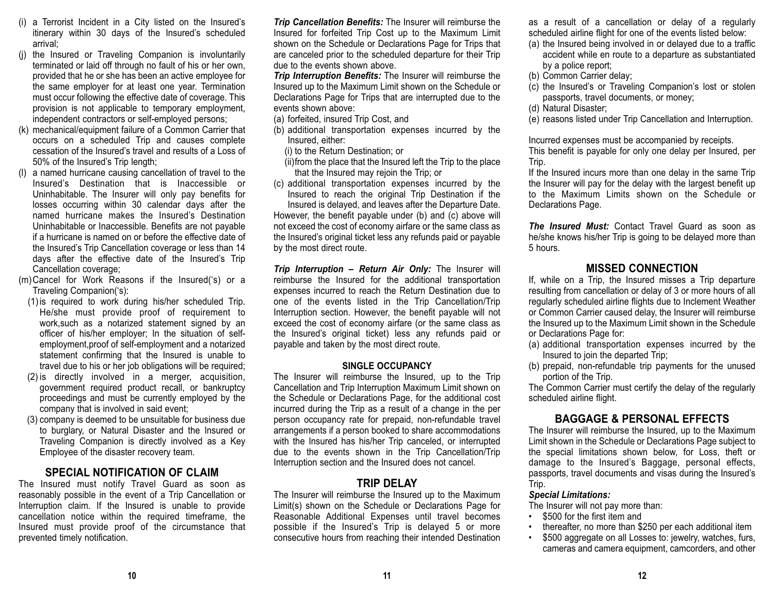- (i) a Terrorist Incident in a City listed on the Insured's itinerary within 30 days of the Insured's scheduled arrival;
- (j) the Insured or Traveling Companion is involuntarily terminated or laid off through no fault of his or her own, provided that he or she has been an active employee for the same employer for at least one year. Termination must occur following the effective date of coverage. This provision is not applicable to temporary employment, independent contractors or self-employed persons;
- (k) mechanical/equipment failure of a Common Carrier that occurs on a scheduled Trip and causes complete cessation of the Insured's travel and results of a Loss of 50% of the Insured's Trip length;
- (l) a named hurricane causing cancellation of travel to the Insured's Destination that is Inaccessible or Uninhabitable. The Insurer will only pay benefits for losses occurring within 30 calendar days after the named hurricane makes the Insured's Destination Uninhabitable or Inaccessible. Benefits are not payable if a hurricane is named on or before the effective date ofthe Insured's Trip Cancellation coverage or less than 14 days after the effective date of the Insured's Trip Cancellation coverage;
- (m)Cancel for Work Reasons if the Insured('s) or a Traveling Companion('s):
	- (1) is required to work during his/her scheduled Trip. He/she must provide proof of requirement to work,such as a notarized statement signed by an officer of his/her employer; In the situation of selfemployment,proof of self-employment and a notarized statement confirming that the Insured is unable to travel due to his or her job obligations will be required;
	- (2) is directly involved in a merger, acquisition, government required product recall, or bankruptcy proceedings and must be currently employed by the company that is involved in said event;
	- (3) company is deemed to be unsuitable for business due to burglary, or Natural Disaster and the Insured or Traveling Companion is directly involved as a Key Employee of the disaster recovery team.

## **SPECIAL NOTIFICATION OF CLAIM**

The Insured must notify Travel Guard as soon as reasonably possible in the event of a Trip Cancellation or Interruption claim. If the Insured is unable to provide cancellation notice within the required timeframe, the Insured must provide proof of the circumstance that prevented timely notification.

*Trip Cancellation Benefits:* The Insurer will reimburse the Insured for forfeited Trip Cost up to the Maximum Limit shown on the Schedule or Declarations Page for Trips that are canceled prior to the scheduled departure for their Trip due to the events shown above.

*Trip Interruption Benefits:* The Insurer will reimburse the Insured up to the Maximum Limit shown on the Schedule or Declarations Page for Trips that are interrupted due to the events shown above:

- (a) forfeited, insured Trip Cost, and
- (b) additional transportation expenses incurred by the Insured, either:
	- (i) to the Return Destination; or
	- (ii)from the place that the Insured left the Trip to the place that the Insured may rejoin the Trip; or
- (c) additional transportation expenses incurred by the Insured to reach the original Trip Destination if the Insured is delayed, and leaves after the Departure Date.

However, the benefit payable under (b) and (c) above will not exceed the cost of economy airfare or the same class as the Insured's original ticket less any refunds paid or payable by the most direct route.

*Trip Interruption – Return Air Only:* The Insurer will reimburse the Insured for the additional transportation expenses incurred to reach the Return Destination due to one of the events listed in the Trip Cancellation/Trip Interruption section. However, the benefit payable will not exceed the cost of economy airfare (or the same class as the Insured's original ticket) less any refunds paid or payable and taken by the most direct route.

#### **SINGLE OCCUPANCY**

The Insurer will reimburse the Insured, up to the Trip Cancellation and Trip Interruption Maximum Limit shown on the Schedule or Declarations Page, for the additional cost incurred during the Trip as a result of a change in the per person occupancy rate for prepaid, non-refundable travel arrangements if a person booked to share accommodations with the Insured has his/her Trip canceled, or interrupted due to the events shown in the Trip Cancellation/Trip Interruption section and the Insured does not cancel.

#### **TRIP DELAY**

The Insurer will reimburse the Insured up to the Maximum Limit(s) shown on the Schedule or Declarations Page for Reasonable Additional Expenses until travel becomes possible if the Insured's Trip is delayed 5 or more consecutive hours from reaching their intended Destination as a result of a cancellation or delay of a regularly scheduled airline flight for one of the events listed below:

- (a) the Insured being involved in or delayed due to a traffic accident while en route to a departure as substantiated by a police report;
- (b) Common Carrier delay;
- (c) the Insured's or Traveling Companion's lost or stolen passports, travel documents, or money;
- (d) Natural Disaster;

(e) reasons listed under Trip Cancellation and Interruption.

Incurred expenses must be accompanied by receipts. This benefit is payable for only one delay per Insured, per Trip.

If the Insured incurs more than one delay in the same Trip the Insurer will pay for the delay with the largest benefit up to the Maximum Limits shown on the Schedule orDeclarations Page.

*The Insured Must:* Contact Travel Guard as soon ashe/she knows his/her Trip is going to be delayed more than 5 hours.

## **MISSED CONNECTION**

If, while on a Trip, the Insured misses a Trip departure resulting from cancellation or delay of 3 or more hours of all regularly scheduled airline flights due to Inclement Weather or Common Carrier caused delay, the Insurer will reimburse the Insured up to the Maximum Limit shown in the Schedule or Declarations Page for:

- (a) additional transportation expenses incurred by the Insured to join the departed Trip;
- (b) prepaid, non-refundable trip payments for the unused portion of the Trip.

The Common Carrier must certify the delay of the regularly scheduled airline flight.

## **BAGGAGE & PERSONAL EFFECTS**

The Insurer will reimburse the Insured, up to the Maximum Limit shown in the Schedule or Declarations Page subject to the special limitations shown below, for Loss, theft or damage to the Insured's Baggage, personal effects, passports, travel documents and visas during the Insured's Trip.

#### *Special Limitations:*

•

The Insurer will not pay more than:

- \$500 for the first item and
- thereafter, no more than \$250 per each additional item
- • \$500 aggregate on all Losses to: jewelry, watches, furs, cameras and camera equipment, camcorders, and other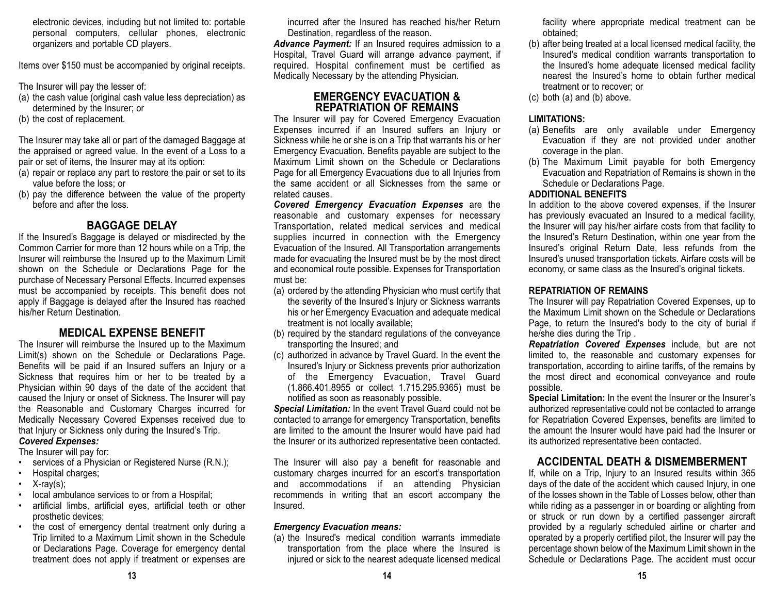electronic devices, including but not limited to: portable personal computers, cellular phones, electronic organizers and portable CD players.

Items over \$150 must be accompanied by original receipts.

The Insurer will pay the lesser of:

- (a) the cash value (original cash value less depreciation) as determined by the Insurer; or
- (b) the cost of replacement.

The Insurer may take all or part of the damaged Baggage at the appraised or agreed value. In the event of a Loss to a pair or set of items, the Insurer may at its option:

- (a) repair or replace any part to restore the pair or set to its value before the loss; or
- (b) pay the difference between the value of the property before and after the loss.

## **BAGGAGE DELAY**

If the Insured's Baggage is delayed or misdirected by the Common Carrier for more than 12 hours while on a Trip, the Insurer will reimburse the Insured up to the Maximum Limit shown on the Schedule or Declarations Page for the purchase of Necessary Personal Effects. Incurred expenses must be accompanied by receipts. This benefit does not apply if Baggage is delayed after the Insured has reached his/her Return Destination.

## **MEDICAL EXPENSE BENEFIT**

The Insurer will reimburse the Insured up to the Maximum Limit(s) shown on the Schedule or Declarations Page. Benefits will be paid if an Insured suffers an Injury or a Sickness that requires him or her to be treated by a Physician within 90 days of the date of the accident that caused the Injury or onset of Sickness. The Insurer will pay the Reasonable and Customary Charges incurred for Medically Necessary Covered Expenses received due to that Injury or Sickness only during the Insured's Trip.

## *Covered Expenses:*

The Insurer will pay for:

- services of a Physician or Registered Nurse (R.N.);
- Hospital charges;
- •X-ray(s);
- local ambulance services to or from a Hospital;
- artificial limbs, artificial eyes, artificial teeth or other prosthetic devices;
- the cost of emergency dental treatment only during a Trip limited to a Maximum Limit shown in the Schedule or Declarations Page. Coverage for emergency dental treatment does not apply if treatment or expenses are

incurred after the Insured has reached his/her ReturnDestination, regardless of the reason.

*Advance Payment:* If an Insured requires admission to a Hospital, Travel Guard will arrange advance payment, if required. Hospital confinement must be certified as Medically Necessary by the attending Physician.

### **EMERGENCY EVACUATION &REPATRIATION OF REMAINS**

The Insurer will pay for Covered Emergency Evacuation Expenses incurred if an Insured suffers an Injury or Sickness while he or she is on a Trip that warrants his or her Emergency Evacuation. Benefits payable are subject to the Maximum Limit shown on the Schedule or DeclarationsPage for all Emergency Evacuations due to all Injuries from the same accident or all Sicknesses from the same orrelated causes.

 *Covered Emergency Evacuation Expenses* are the reasonable and customary expenses for necessary Transportation, related medical services and medical supplies incurred in connection with the Emergency Evacuation of the Insured. All Transportation arrangements made for evacuating the Insured must be by the most direct and economical route possible. Expenses for Transportation must be:

- (a) ordered by the attending Physician who must certify that the severity of the Insured's Injury or Sickness warrants his or her Emergency Evacuation and adequate medical treatment is not locally available;
- (b) required by the standard regulations of the conveyance transporting the Insured; and
- (c) authorized in advance by Travel Guard. In the event the Insured's Injury or Sickness prevents prior authorization of the Emergency Evacuation, Travel Guard (1.866.401.8955 or collect 1.715.295.9365) must be notified as soon as reasonably possible.

*Special Limitation:* In the event Travel Guard could not be contacted to arrange for emergency Transportation, benefits are limited to the amount the Insurer would have paid had the Insurer or its authorized representative been contacted.

The Insurer will also pay a benefit for reasonable and customary charges incurred for an escort's transportation and accommodations if an attending Physician recommends in writing that an escort accompany the Insured.

## *Emergency Evacuation means:*

(a) the Insured's medical condition warrants immediate transportation from the place where the Insured is injured or sick to the nearest adequate licensed medical facility where appropriate medical treatment can be obtained;

- (b) after being treated at a local licensed medical facility, the Insured's medical condition warrants transportation to the Insured's home adequate licensed medical facility nearest the Insured's home to obtain further medicaltreatment or to recover; or
- (c) both (a) and (b) above.

## **LIMITATIONS:**

- (a) Benefits are only available under Emergency Evacuation if they are not provided under another coverage in the plan.
- (b) The Maximum Limit payable for both Emergency Evacuation and Repatriation of Remains is shown in the Schedule or Declarations Page.

## **ADDITIONAL BENEFITS**

In addition to the above covered expenses, if the Insurer has previously evacuated an Insured to a medical facility, the Insurer will pay his/her airfare costs from that facility to the Insured's Return Destination, within one year from the Insured's original Return Date, less refunds from the Insured's unused transportation tickets. Airfare costs will be economy, or same class as the Insured's original tickets.

## **REPATRIATION OF REMAINS**

The Insurer will pay Repatriation Covered Expenses, up to the Maximum Limit shown on the Schedule or DeclarationsPage, to return the Insured's body to the city of burial if he/she dies during the Trip .

*Repatriation Covered Expenses* include, but are not limited to, the reasonable and customary expenses for transportation, according to airline tariffs, of the remains by the most direct and economical conveyance and route possible.

**Special Limitation:** In the event the Insurer or the Insurer's authorized representative could not be contacted to arrange for Repatriation Covered Expenses, benefits are limited to the amount the Insurer would have paid had the Insurer or its authorized representative been contacted.

## **ACCIDENTAL DEATH & DISMEMBERMENT**

If, while on a Trip, Injury to an Insured results within 365 days of the date of the accident which caused Injury, in one of the losses shown in the Table of Losses below, other than while riding as a passenger in or boarding or alighting from or struck or run down by a certified passenger aircraft provided by a regularly scheduled airline or charter and operated by a properly certified pilot, the Insurer will pay the percentage shown below of the Maximum Limit shown in the Schedule or Declarations Page. The accident must occur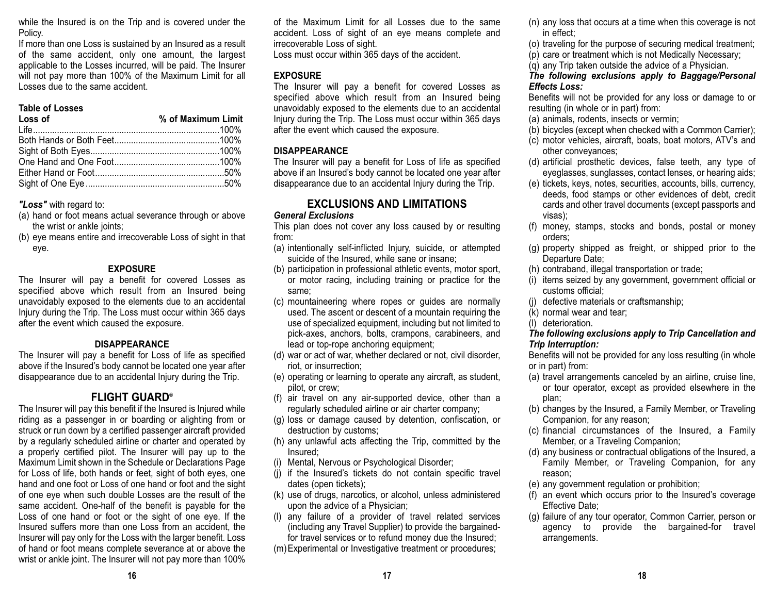while the Insured is on the Trip and is covered under the Policy.

If more than one Loss is sustained by an Insured as a result of the same accident, only one amount, the largest applicable to the Losses incurred, will be paid. The Insurer will not pay more than 100% of the Maximum Limit for all Losses due to the same accident.

#### **Table of Losses**

| Loss of | % of Maximum Limit |
|---------|--------------------|
|         |                    |
|         |                    |
|         |                    |
|         |                    |
|         |                    |
|         |                    |

*"Loss"* with regard to:

- (a) hand or foot means actual severance through or above the wrist or ankle joints;
- (b) eye means entire and irrecoverable Loss of sight in that eye.

#### **EXPOSURE**

The Insurer will pay a benefit for covered Losses as specified above which result from an Insured being unavoidably exposed to the elements due to an accidental Injury during the Trip. The Loss must occur within 365 days after the event which caused the exposure.

#### **DISAPPEARANCE**

The Insurer will pay a benefit for Loss of life as specified above if the Insured's body cannot be located one year after disappearance due to an accidental Injury during the Trip.

#### **FLIGHT GUARD**®

The Insurer will pay this benefit if the Insured is Injured while riding as a passenger in or boarding or alighting from or struck or run down by a certified passenger aircraft provided by a regularly scheduled airline or charter and operated by a properly certified pilot. The Insurer will pay up to the Maximum Limit shown in the Schedule or Declarations Page for Loss of life, both hands or feet, sight of both eyes, one hand and one foot or Loss of one hand or foot and the sight of one eye when such double Losses are the result of the same accident. One-half of the benefit is payable for the Loss of one hand or foot or the sight of one eye. If the Insured suffers more than one Loss from an accident, the Insurer will pay only for the Loss with the larger benefit. Loss of hand or foot means complete severance at or above the wrist or ankle joint. The Insurer will not pay more than 100%

of the Maximum Limit for all Losses due to the sameaccident. Loss of sight of an eye means complete and irrecoverable Loss of sight.

Loss must occur within 365 days of the accident.

#### **EXPOSURE**

The Insurer will pay a benefit for covered Losses as specified above which result from an Insured being unavoidably exposed to the elements due to an accidental Injury during the Trip. The Loss must occur within 365 days after the event which caused the exposure.

#### **DISAPPEARANCE**

The Insurer will pay a benefit for Loss of life as specified above if an Insured's body cannot be located one year after disappearance due to an accidental Injury during the Trip.

## **EXCLUSIONS AND LIMITATIONS**

#### *General Exclusions*

This plan does not cover any loss caused by or resulting from:

- (a) intentionally self-inflicted Injury, suicide, or attempted suicide of the Insured, while sane or insane;
- (b) participation in professional athletic events, motor sport, or motor racing, including training or practice for the same;
- (c) mountaineering where ropes or guides are normally used. The ascent or descent of a mountain requiring the use of specialized equipment, including but not limited to pick-axes, anchors, bolts, crampons, carabineers, and lead or top-rope anchoring equipment;
- (d) war or act of war, whether declared or not, civil disorder, riot, or insurrection;
- (e) operating or learning to operate any aircraft, as student, pilot, or crew;
- (f) air travel on any air-supported device, other than a regularly scheduled airline or air charter company;
- (g) loss or damage caused by detention, confiscation, or destruction by customs;
- (h) any unlawful acts affecting the Trip, committed by the Insured;
- (i) Mental, Nervous or Psychological Disorder;
- (j) if the Insured's tickets do not contain specific travel dates (open tickets);
- (k) use of drugs, narcotics, or alcohol, unless administered upon the advice of a Physician;
- (l) any failure of a provider of travel related services (including any Travel Supplier) to provide the bargainedfor travel services or to refund money due the Insured;

(m)Experimental or Investigative treatment or procedures;

- (n) any loss that occurs at a time when this coverage is not in effect;
- (o) traveling for the purpose of securing medical treatment;
- (p) care or treatment which is not Medically Necessary;
- (q) any Trip taken outside the advice of a Physician.

#### *The following exclusions apply to Baggage/Personal Effects Loss:*

Benefits will not be provided for any loss or damage to or resulting (in whole or in part) from:

- (a) animals, rodents, insects or vermin;
- (b) bicycles (except when checked with a Common Carrier);
- (c) motor vehicles, aircraft, boats, boat motors, ATV's and other conveyances;
- (d) artificial prosthetic devices, false teeth, any type of eyeglasses, sunglasses, contact lenses, or hearing aids;
- (e) tickets, keys, notes, securities, accounts, bills, currency, deeds, food stamps or other evidences of debt, credit cards and other travel documents (except passports and visas);
- (f) money, stamps, stocks and bonds, postal or money orders;
- (g) property shipped as freight, or shipped prior to the Departure Date;
- (h) contraband, illegal transportation or trade;
- (i) items seized by any government, government official or customs official;
- (j) defective materials or craftsmanship;
- (k) normal wear and tear;
- (l) deterioration.

#### *The following exclusions apply to Trip Cancellation and Trip Interruption:*

Benefits will not be provided for any loss resulting (in whole or in part) from:

- (a) travel arrangements canceled by an airline, cruise line, or tour operator, except as provided elsewhere in the plan;
- (b) changes by the Insured, a Family Member, or Traveling Companion, for any reason;
- (c) financial circumstances of the Insured, a Family Member, or a Traveling Companion;
- (d) any business or contractual obligations of the Insured, a Family Member, or Traveling Companion, for any reason;
- (e) any government regulation or prohibition;
- (f) an event which occurs prior to the Insured's coverage Effective Date;
- (g) failure of any tour operator, Common Carrier, person or agency to provide the bargained-for travel arrangements.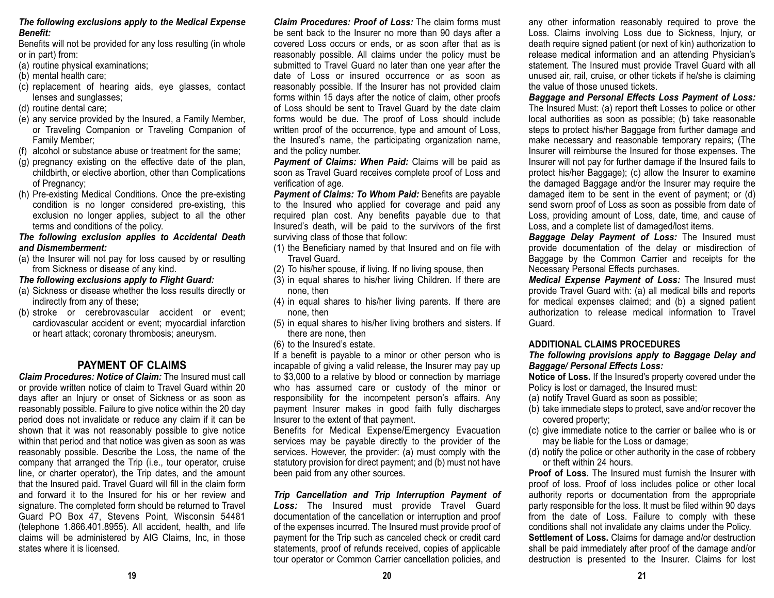#### *The following exclusions apply to the Medical Expense Benefit:*

Benefits will not be provided for any loss resulting (in whole or in part) from:

- (a) routine physical examinations;
- (b) mental health care;
- (c) replacement of hearing aids, eye glasses, contact lenses and sunglasses;
- (d) routine dental care;
- (e) any service provided by the Insured, a Family Member, or Traveling Companion or Traveling Companion of Family Member;
- (f) alcohol or substance abuse or treatment for the same;
- (g) pregnancy existing on the effective date of the plan, childbirth, or elective abortion, other than Complications of Pregnancy;
- (h) Pre-existing Medical Conditions. Once the pre-existing condition is no longer considered pre-existing, this exclusion no longer applies, subject to all the other terms and conditions of the policy.

#### *The following exclusion applies to Accidental Death and Dismemberment:*

(a) the Insurer will not pay for loss caused by or resulting from Sickness or disease of any kind.

#### *The following exclusions apply to Flight Guard:*

- (a) Sickness or disease whether the loss results directly or indirectly from any of these;
- (b) stroke or cerebrovascular accident or event; cardiovascular accident or event; myocardial infarction or heart attack; coronary thrombosis; aneurysm.

## **PAYMENT OF CLAIMS**

*Claim Procedures: Notice of Claim:* The Insured must callor provide written notice of claim to Travel Guard within 20 days after an Injury or onset of Sickness or as soon as reasonably possible. Failure to give notice within the 20 day period does not invalidate or reduce any claim if it can be shown that it was not reasonably possible to give notice within that period and that notice was given as soon as was reasonably possible. Describe the Loss, the name of the company that arranged the Trip (i.e., tour operator, cruise line, or charter operator), the Trip dates, and the amount that the Insured paid. Travel Guard will fill in the claim form and forward it to the Insured for his or her review andsignature. The completed form should be returned to Travel Guard PO Box 47, Stevens Point, Wisconsin 54481 (telephone 1.866.401.8955). All accident, health, and life claims will be administered by AIG Claims, Inc, in those states where it is licensed.

*Claim Procedures: Proof of Loss:* The claim forms must be sent back to the Insurer no more than 90 days after a covered Loss occurs or ends, or as soon after that as is reasonably possible. All claims under the policy must be submitted to Travel Guard no later than one year after the date of Loss or insured occurrence or as soon asreasonably possible. If the Insurer has not provided claim forms within 15 days after the notice of claim, other proofs of Loss should be sent to Travel Guard by the date claim forms would be due. The proof of Loss should include written proof of the occurrence, type and amount of Loss, the Insured's name, the participating organization name, and the policy number.

*Payment of Claims: When Paid:* Claims will be paid as soon as Travel Guard receives complete proof of Loss and verification of age.

*Payment of Claims: To Whom Paid:* Benefits are payable to the Insured who applied for coverage and paid any required plan cost. Any benefits payable due to that Insured's death, will be paid to the survivors of the first surviving class of those that follow:

- (1) the Beneficiary named by that Insured and on file with Travel Guard.
- (2) To his/her spouse, if living. If no living spouse, then
- (3) in equal shares to his/her living Children. If there are none, then
- (4) in equal shares to his/her living parents. If there are none, then
- (5) in equal shares to his/her living brothers and sisters. If there are none, then
- (6) to the Insured's estate.

If a benefit is payable to a minor or other person who is incapable of giving a valid release, the Insurer may pay up to \$3,000 to a relative by blood or connection by marriage who has assumed care or custody of the minor or responsibility for the incompetent person's affairs. Any payment Insurer makes in good faith fully discharges Insurer to the extent of that payment.

Benefits for Medical Expense/Emergency Evacuation services may be payable directly to the provider of the services. However, the provider: (a) must comply with the statutory provision for direct payment; and (b) must not have been paid from any other sources.

*Trip Cancellation and Trip Interruption Payment of Loss:* The Insured must provide Travel Guard documentation of the cancellation or interruption and proof of the expenses incurred. The Insured must provide proof of payment for the Trip such as canceled check or credit card statements, proof of refunds received, copies of applicable tour operator or Common Carrier cancellation policies, and

any other information reasonably required to prove the Loss. Claims involving Loss due to Sickness, Injury, or death require signed patient (or next of kin) authorization to release medical information and an attending Physician's statement. The Insured must provide Travel Guard with all unused air, rail, cruise, or other tickets if he/she is claiming the value of those unused tickets.

*Baggage and Personal Effects Loss Payment of Loss:* The Insured Must: (a) report theft Losses to police or other local authorities as soon as possible; (b) take reasonable steps to protect his/her Baggage from further damage and make necessary and reasonable temporary repairs; (The Insurer will reimburse the Insured for those expenses. The Insurer will not pay for further damage if the Insured fails to protect his/her Baggage); (c) allow the Insurer to examine the damaged Baggage and/or the Insurer may require the damaged item to be sent in the event of payment; or (d) send sworn proof of Loss as soon as possible from date of Loss, providing amount of Loss, date, time, and cause of Loss, and a complete list of damaged/lost items.

*Baggage Delay Payment of Loss:* The Insured must provide documentation of the delay or misdirection of Baggage by the Common Carrier and receipts for the Necessary Personal Effects purchases.

*Medical Expense Payment of Loss:* The Insured must provide Travel Guard with: (a) all medical bills and reports for medical expenses claimed; and (b) a signed patient authorization to release medical information to TravelGuard.

#### **ADDITIONAL CLAIMS PROCEDURES**

#### *The following provisions apply to Baggage Delay and Baggage/ Personal Effects Loss:*

**Notice of Loss.** If the Insured's property covered under the Policy is lost or damaged, the Insured must:

- (a) notify Travel Guard as soon as possible;
- (b) take immediate steps to protect, save and/or recover the covered property;
- (c) give immediate notice to the carrier or bailee who is or may be liable for the Loss or damage;
- (d) notify the police or other authority in the case of robbery or theft within 24 hours.

**Proof of Loss.** The Insured must furnish the Insurer withproof of loss. Proof of loss includes police or other local authority reports or documentation from the appropriate party responsible for the loss. It must be filed within 90 days from the date of Loss. Failure to comply with these conditions shall not invalidate any claims under the Policy. **Settlement of Loss.** Claims for damage and/or destruction shall be paid immediately after proof of the damage and/or destruction is presented to the Insurer. Claims for lost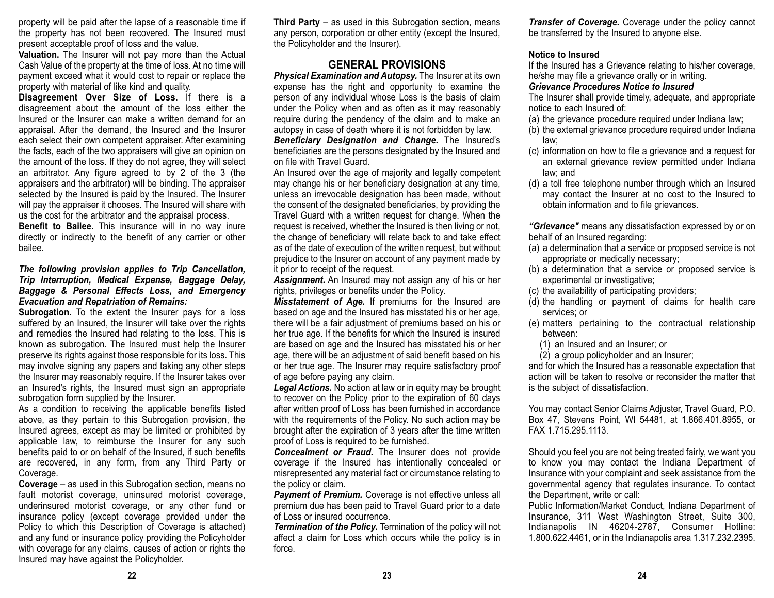property will be paid after the lapse of a reasonable time if the property has not been recovered. The Insured must present acceptable proof of loss and the value.

**Valuation.** The Insurer will not pay more than the Actual Cash Value of the property at the time of loss. At no time will payment exceed what it would cost to repair or replace the property with material of like kind and quality.

**Disagreement Over Size of Loss.** If there is a disagreement about the amount of the loss either the Insured or the Insurer can make a written demand for anappraisal. After the demand, the Insured and the Insurer each select their own competent appraiser. After examining the facts, each of the two appraisers will give an opinion on the amount of the loss. If they do not agree, they will select an arbitrator. Any figure agreed to by 2 of the 3 (the appraisers and the arbitrator) will be binding. The appraiser selected by the Insured is paid by the Insured. The Insurer will pay the appraiser it chooses. The Insured will share with us the cost for the arbitrator and the appraisal process.

**Benefit to Bailee.** This insurance will in no way inure directly or indirectly to the benefit of any carrier or other bailee.

#### *The following provision applies to Trip Cancellation, Trip Interruption, Medical Expense, Baggage Delay, Baggage & Personal Effects Loss, and Emergency Evacuation and Repatriation of Remains:*

**Subrogation.** To the extent the Insurer pays for a loss suffered by an Insured, the Insurer will take over the rights and remedies the Insured had relating to the loss. This is known as subrogation. The Insured must help the Insurer preserve its rights against those responsible for its loss. This may involve signing any papers and taking any other steps the Insurer may reasonably require. If the Insurer takes over an Insured's rights, the Insured must sign an appropriate subrogation form supplied by the Insurer.

As a condition to receiving the applicable benefits listed above, as they pertain to this Subrogation provision, the Insured agrees, except as may be limited or prohibited by applicable law, to reimburse the Insurer for any such benefits paid to or on behalf of the Insured, if such benefits are recovered, in any form, from any Third Party or Coverage.

**Coverage** – as used in this Subrogation section, means no fault motorist coverage, uninsured motorist coverage, underinsured motorist coverage, or any other fund or insurance policy (except coverage provided under the Policy to which this Description of Coverage is attached) and any fund or insurance policy providing the Policyholder with coverage for any claims, causes of action or rights the Insured may have against the Policyholder.

**Third Party** – as used in this Subrogation section, means any person, corporation or other entity (except the Insured, the Policyholder and the Insurer).

## **GENERAL PROVISIONS**

*Physical Examination and Autopsy.* The Insurer at its own expense has the right and opportunity to examine the person of any individual whose Loss is the basis of claim under the Policy when and as often as it may reasonably require during the pendency of the claim and to make an autopsy in case of death where it is not forbidden by law. *Beneficiary Designation and Change.* The Insured's beneficiaries are the persons designated by the Insured and on file with Travel Guard.

An Insured over the age of majority and legally competent may change his or her beneficiary designation at any time, unless an irrevocable designation has been made, without the consent of the designated beneficiaries, by providing the Travel Guard with a written request for change. When the request is received, whether the Insured is then living or not, the change of beneficiary will relate back to and take effect as of the date of execution of the written request, but without prejudice to the Insurer on account of any payment made by it prior to receipt of the request.

*Assignment.* An Insured may not assign any of his or her rights, privileges or benefits under the Policy.

*Misstatement of Age.* If premiums for the Insured are based on age and the Insured has misstated his or her age, there will be a fair adjustment of premiums based on his or her true age. If the benefits for which the Insured is insured are based on age and the Insured has misstated his or her age, there will be an adjustment of said benefit based on his or her true age. The Insurer may require satisfactory proof of age before paying any claim.

*Legal Actions.* No action at law or in equity may be brought to recover on the Policy prior to the expiration of 60 days after written proof of Loss has been furnished in accordance with the requirements of the Policy. No such action may be brought after the expiration of 3 years after the time written proof of Loss is required to be furnished.

*Concealment or Fraud.* The Insurer does not provide coverage if the Insured has intentionally concealed or misrepresented any material fact or circumstance relating to the policy or claim.

**Payment of Premium.** Coverage is not effective unless all premium due has been paid to Travel Guard prior to a date of Loss or insured occurrence.

*Termination of the Policy.* Termination of the policy will not affect a claim for Loss which occurs while the policy is in force.

*Transfer of Coverage.* Coverage under the policy cannot be transferred by the Insured to anyone else.

#### **Notice to Insured**

If the Insured has a Grievance relating to his/her coverage, he/she may file a grievance orally or in writing.

#### *Grievance Procedures Notice to Insured*

The Insurer shall provide timely, adequate, and appropriate notice to each Insured of:

- (a) the grievance procedure required under Indiana law;
- (b) the external grievance procedure required under Indiana law;
- (c) information on how to file a grievance and a request for an external grievance review permitted under Indiana law; and
- (d) a toll free telephone number through which an Insured may contact the Insurer at no cost to the Insured to obtain information and to file grievances.

*"Grievance"* means any dissatisfaction expressed by or on behalf of an Insured regarding:

- (a) a determination that a service or proposed service is not appropriate or medically necessary;
- (b) a determination that a service or proposed service is experimental or investigative;
- (c) the availability of participating providers;
- (d) the handling or payment of claims for health care services; or
- (e) matters pertaining to the contractual relationship between:
	- (1) an Insured and an Insurer; or
	- (2) a group policyholder and an Insurer;

and for which the Insured has a reasonable expectation that action will be taken to resolve or reconsider the matter that is the subject of dissatisfaction.

You may contact Senior Claims Adjuster, Travel Guard, P.O. Box 47, Stevens Point, WI 54481, at 1.866.401.8955, or FAX 1.715.295.1113.

Should you feel you are not being treated fairly, we want you to know you may contact the Indiana Department of Insurance with your complaint and seek assistance from the governmental agency that regulates insurance. To contact the Department, write or call:

Public Information/Market Conduct, Indiana Department of Insurance, 311 West Washington Street, Suite 300, Indianapolis IN 46204-2787, Consumer Hotline: 1.800.622.4461, or in the Indianapolis area 1.317.232.2395.